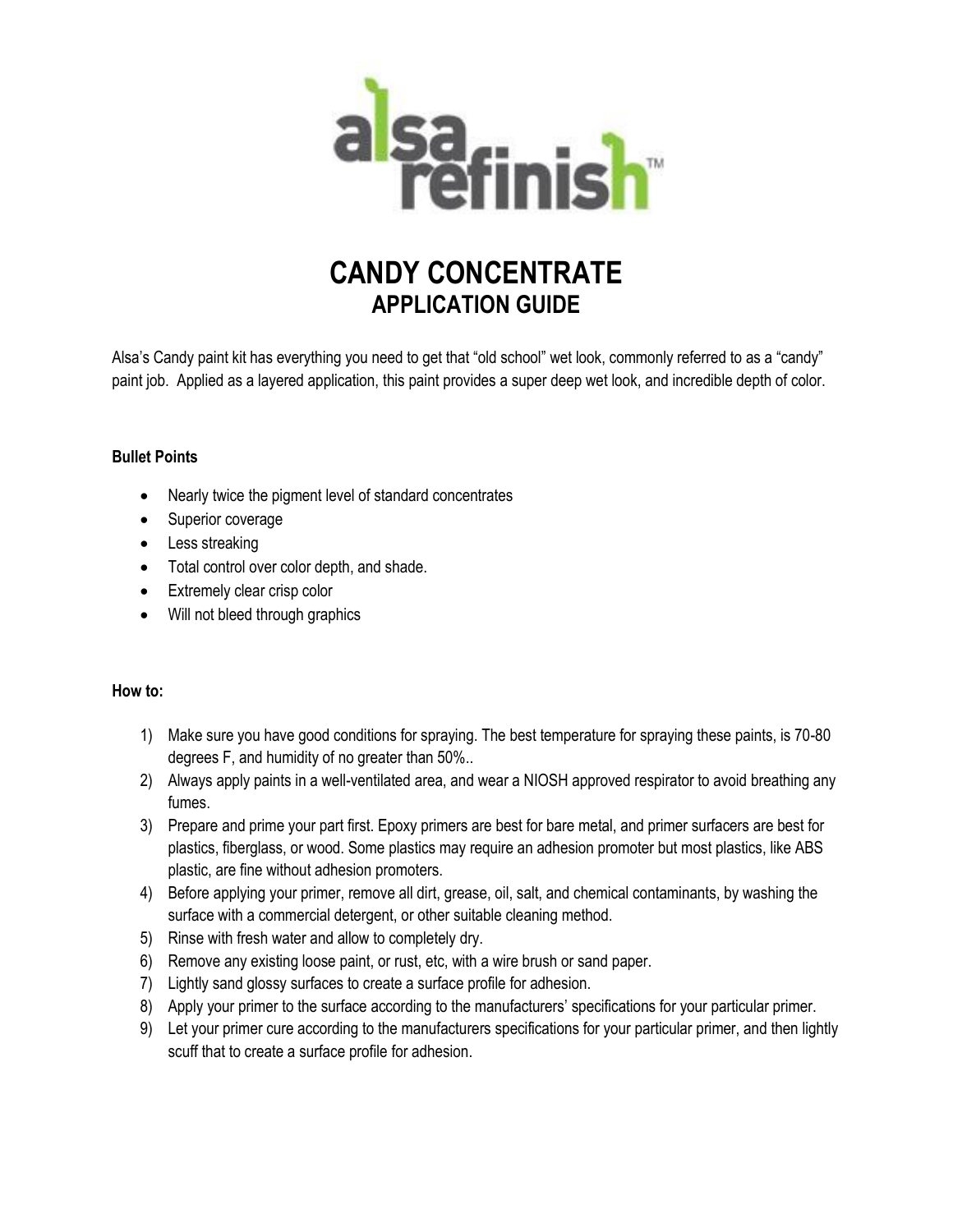

## **CANDY CONCENTRATE APPLICATION GUIDE**

Alsa's Candy paint kit has everything you need to get that "old school" wet look, commonly referred to as a "candy" paint job. Applied as a layered application, this paint provides a super deep wet look, and incredible depth of color.

## **Bullet Points**

- Nearly twice the pigment level of standard concentrates
- Superior coverage
- Less streaking
- Total control over color depth, and shade.
- Extremely clear crisp color
- Will not bleed through graphics

## **How to:**

- 1) Make sure you have good conditions for spraying. The best temperature for spraying these paints, is 70-80 degrees F, and humidity of no greater than 50%..
- 2) Always apply paints in a well-ventilated area, and wear a NIOSH approved respirator to avoid breathing any fumes.
- 3) Prepare and prime your part first. Epoxy primers are best for bare metal, and primer surfacers are best for plastics, fiberglass, or wood. Some plastics may require an adhesion promoter but most plastics, like ABS plastic, are fine without adhesion promoters.
- 4) Before applying your primer, remove all dirt, grease, oil, salt, and chemical contaminants, by washing the surface with a commercial detergent, or other suitable cleaning method.
- 5) Rinse with fresh water and allow to completely dry.
- 6) Remove any existing loose paint, or rust, etc, with a wire brush or sand paper.
- 7) Lightly sand glossy surfaces to create a surface profile for adhesion.
- 8) Apply your primer to the surface according to the manufacturers' specifications for your particular primer.
- 9) Let your primer cure according to the manufacturers specifications for your particular primer, and then lightly scuff that to create a surface profile for adhesion.